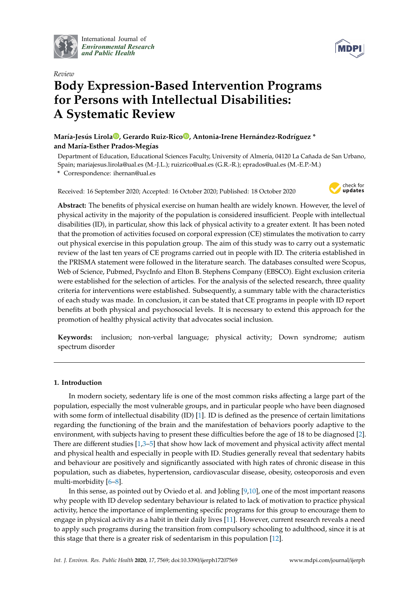

International Journal of *[Environmental Research](http://www.mdpi.com/journal/ijerph) and Public Health*



# *Review* **Body Expression-Based Intervention Programs for Persons with Intellectual Disabilities: A Systematic Review**

**María-Jesús Lirol[a](https://orcid.org/0000-0002-5766-6458) , Gerardo Ruiz-Rico [,](https://orcid.org/0000-0003-0894-472X) Antonia-Irene Hernández-Rodríguez \* and María-Esther Prados-Megías**

Department of Education, Educational Sciences Faculty, University of Almería, 04120 La Cañada de San Urbano, Spain; mariajesus.lirola@ual.es (M.-J.L.); ruizrico@ual.es (G.R.-R.); eprados@ual.es (M.-E.P.-M.)

**\*** Correspondence: ihernan@ual.es

Received: 16 September 2020; Accepted: 16 October 2020; Published: 18 October 2020



**Abstract:** The benefits of physical exercise on human health are widely known. However, the level of physical activity in the majority of the population is considered insufficient. People with intellectual disabilities (ID), in particular, show this lack of physical activity to a greater extent. It has been noted that the promotion of activities focused on corporal expression (CE) stimulates the motivation to carry out physical exercise in this population group. The aim of this study was to carry out a systematic review of the last ten years of CE programs carried out in people with ID. The criteria established in the PRISMA statement were followed in the literature search. The databases consulted were Scopus, Web of Science, Pubmed, PsycInfo and Elton B. Stephens Company (EBSCO). Eight exclusion criteria were established for the selection of articles. For the analysis of the selected research, three quality criteria for interventions were established. Subsequently, a summary table with the characteristics of each study was made. In conclusion, it can be stated that CE programs in people with ID report benefits at both physical and psychosocial levels. It is necessary to extend this approach for the promotion of healthy physical activity that advocates social inclusion.

**Keywords:** inclusion; non-verbal language; physical activity; Down syndrome; autism spectrum disorder

# **1. Introduction**

In modern society, sedentary life is one of the most common risks affecting a large part of the population, especially the most vulnerable groups, and in particular people who have been diagnosed with some form of intellectual disability (ID) [\[1\]](#page-9-0). ID is defined as the presence of certain limitations regarding the functioning of the brain and the manifestation of behaviors poorly adaptive to the environment, with subjects having to present these difficulties before the age of 18 to be diagnosed [\[2\]](#page-9-1). There are different studies [\[1,](#page-9-0)[3–](#page-9-2)[5\]](#page-9-3) that show how lack of movement and physical activity affect mental and physical health and especially in people with ID. Studies generally reveal that sedentary habits and behaviour are positively and significantly associated with high rates of chronic disease in this population, such as diabetes, hypertension, cardiovascular disease, obesity, osteoporosis and even multi-morbidity [\[6–](#page-9-4)[8\]](#page-9-5).

In this sense, as pointed out by Oviedo et al. and Jobling [\[9](#page-9-6)[,10\]](#page-9-7), one of the most important reasons why people with ID develop sedentary behaviour is related to lack of motivation to practice physical activity, hence the importance of implementing specific programs for this group to encourage them to engage in physical activity as a habit in their daily lives [\[11\]](#page-9-8). However, current research reveals a need to apply such programs during the transition from compulsory schooling to adulthood, since it is at this stage that there is a greater risk of sedentarism in this population [\[12\]](#page-9-9).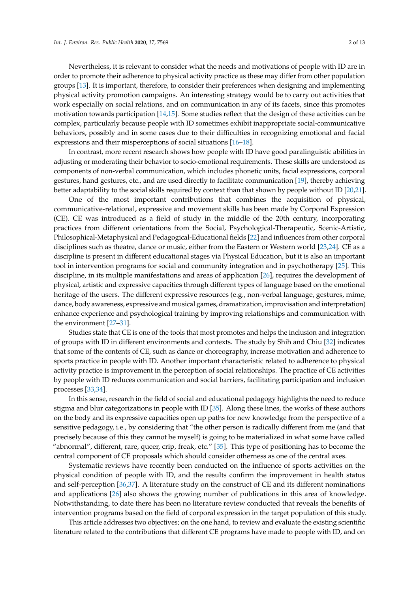Nevertheless, it is relevant to consider what the needs and motivations of people with ID are in order to promote their adherence to physical activity practice as these may differ from other population groups [\[13\]](#page-9-10). It is important, therefore, to consider their preferences when designing and implementing physical activity promotion campaigns. An interesting strategy would be to carry out activities that work especially on social relations, and on communication in any of its facets, since this promotes motivation towards participation [\[14](#page-9-11)[,15\]](#page-9-12). Some studies reflect that the design of these activities can be complex, particularly because people with ID sometimes exhibit inappropriate social-communicative behaviors, possibly and in some cases due to their difficulties in recognizing emotional and facial expressions and their misperceptions of social situations [\[16–](#page-9-13)[18\]](#page-9-14).

In contrast, more recent research shows how people with ID have good paralinguistic abilities in adjusting or moderating their behavior to socio-emotional requirements. These skills are understood as components of non-verbal communication, which includes phonetic units, facial expressions, corporal gestures, hand gestures, etc., and are used directly to facilitate communication [\[19\]](#page-9-15), thereby achieving better adaptability to the social skills required by context than that shown by people without ID [\[20](#page-9-16)[,21\]](#page-10-0).

One of the most important contributions that combines the acquisition of physical, communicative-relational, expressive and movement skills has been made by Corporal Expression (CE). CE was introduced as a field of study in the middle of the 20th century, incorporating practices from different orientations from the Social, Psychological-Therapeutic, Scenic-Artistic, Philosophical-Metaphysical and Pedagogical-Educational fields [\[22\]](#page-10-1) and influences from other corporal disciplines such as theatre, dance or music, either from the Eastern or Western world [\[23,](#page-10-2)[24\]](#page-10-3). CE as a discipline is present in different educational stages via Physical Education, but it is also an important tool in intervention programs for social and community integration and in psychotherapy [\[25\]](#page-10-4). This discipline, in its multiple manifestations and areas of application [\[26\]](#page-10-5), requires the development of physical, artistic and expressive capacities through different types of language based on the emotional heritage of the users. The different expressive resources (e.g., non-verbal language, gestures, mime, dance, body awareness, expressive and musical games, dramatization, improvisation and interpretation) enhance experience and psychological training by improving relationships and communication with the environment [\[27](#page-10-6)[–31\]](#page-10-7).

Studies state that CE is one of the tools that most promotes and helps the inclusion and integration of groups with ID in different environments and contexts. The study by Shih and Chiu [\[32\]](#page-10-8) indicates that some of the contents of CE, such as dance or choreography, increase motivation and adherence to sports practice in people with ID. Another important characteristic related to adherence to physical activity practice is improvement in the perception of social relationships. The practice of CE activities by people with ID reduces communication and social barriers, facilitating participation and inclusion processes [\[33](#page-10-9)[,34\]](#page-10-10).

In this sense, research in the field of social and educational pedagogy highlights the need to reduce stigma and blur categorizations in people with ID [\[35\]](#page-10-11). Along these lines, the works of these authors on the body and its expressive capacities open up paths for new knowledge from the perspective of a sensitive pedagogy, i.e., by considering that "the other person is radically different from me (and that precisely because of this they cannot be myself) is going to be materialized in what some have called "abnormal", different, rare, queer, crip, freak, etc." [\[35\]](#page-10-11). This type of positioning has to become the central component of CE proposals which should consider otherness as one of the central axes.

Systematic reviews have recently been conducted on the influence of sports activities on the physical condition of people with ID, and the results confirm the improvement in health status and self-perception [\[36](#page-10-12)[,37\]](#page-10-13). A literature study on the construct of CE and its different nominations and applications [\[26\]](#page-10-5) also shows the growing number of publications in this area of knowledge. Notwithstanding, to date there has been no literature review conducted that reveals the benefits of intervention programs based on the field of corporal expression in the target population of this study.

This article addresses two objectives; on the one hand, to review and evaluate the existing scientific literature related to the contributions that different CE programs have made to people with ID, and on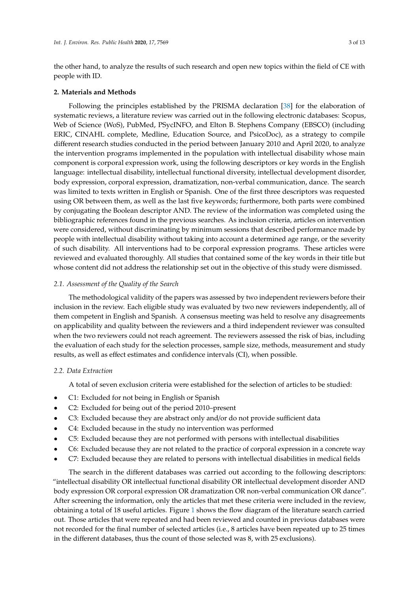the other hand, to analyze the results of such research and open new topics within the field of CE with people with ID.

#### **2. Materials and Methods**

Following the principles established by the PRISMA declaration [\[38\]](#page-10-14) for the elaboration of systematic reviews, a literature review was carried out in the following electronic databases: Scopus, Web of Science (WoS), PubMed, PSycINFO, and Elton B. Stephens Company (EBSCO) (including ERIC, CINAHL complete, Medline, Education Source, and PsicoDoc), as a strategy to compile different research studies conducted in the period between January 2010 and April 2020, to analyze the intervention programs implemented in the population with intellectual disability whose main component is corporal expression work, using the following descriptors or key words in the English language: intellectual disability, intellectual functional diversity, intellectual development disorder, body expression, corporal expression, dramatization, non-verbal communication, dance. The search was limited to texts written in English or Spanish. One of the first three descriptors was requested using OR between them, as well as the last five keywords; furthermore, both parts were combined by conjugating the Boolean descriptor AND. The review of the information was completed using the bibliographic references found in the previous searches. As inclusion criteria, articles on intervention were considered, without discriminating by minimum sessions that described performance made by people with intellectual disability without taking into account a determined age range, or the severity of such disability. All interventions had to be corporal expression programs. These articles were reviewed and evaluated thoroughly. All studies that contained some of the key words in their title but whose content did not address the relationship set out in the objective of this study were dismissed.

### *2.1. Assessment of the Quality of the Search*

The methodological validity of the papers was assessed by two independent reviewers before their inclusion in the review. Each eligible study was evaluated by two new reviewers independently, all of them competent in English and Spanish. A consensus meeting was held to resolve any disagreements on applicability and quality between the reviewers and a third independent reviewer was consulted when the two reviewers could not reach agreement. The reviewers assessed the risk of bias, including the evaluation of each study for the selection processes, sample size, methods, measurement and study results, as well as effect estimates and confidence intervals (CI), when possible.

#### *2.2. Data Extraction*

A total of seven exclusion criteria were established for the selection of articles to be studied:

- C1: Excluded for not being in English or Spanish
- C2: Excluded for being out of the period 2010–present
- C3: Excluded because they are abstract only and/or do not provide sufficient data
- C4: Excluded because in the study no intervention was performed
- C5: Excluded because they are not performed with persons with intellectual disabilities
- C6: Excluded because they are not related to the practice of corporal expression in a concrete way
- C7: Excluded because they are related to persons with intellectual disabilities in medical fields

The search in the different databases was carried out according to the following descriptors: "intellectual disability OR intellectual functional disability OR intellectual development disorder AND body expression OR corporal expression OR dramatization OR non-verbal communication OR dance". After screening the information, only the articles that met these criteria were included in the review, obtaining a total of 18 useful articles. Figure [1](#page-3-0) shows the flow diagram of the literature search carried out. Those articles that were repeated and had been reviewed and counted in previous databases were not recorded for the final number of selected articles (i.e., 8 articles have been repeated up to 25 times in the different databases, thus the count of those selected was 8, with 25 exclusions).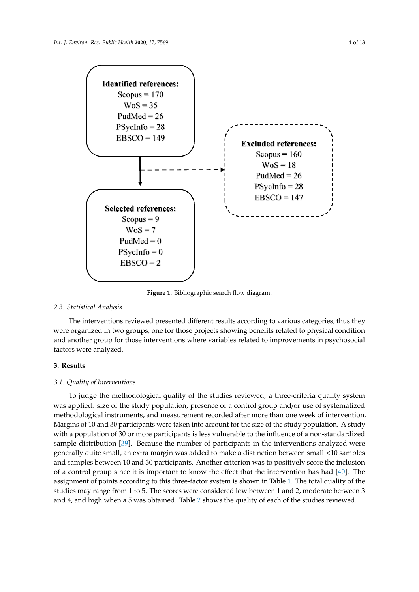<span id="page-3-0"></span>

**Figure 1.** Bibliographic search flow diagram. **Figure 1.** Bibliographic search flow diagram.

# *2.3. Statistical Analysis 2.3. Statistical Analysis*

The interventions reviewed presented different results according to various categories, thus they The interventions reviewed presented different results according to various categories, thus they were organized in two groups, one for those projects showing benefits related to physical condition were organized in two groups, one for those projects showing benefits related to physical condition and another group for those interventions where variables related to improvements in psychosocial and another group for those interventions where variables related to improvements in psychosocial factors were analyzed. factors were analyzed.

# **3. Results 3. Results**

# *3.1. Quality of Interventions 3.1. Quality of Interventions*

To judge the methodological quality of the studies reviewed, a three-criteria quality system was To judge the methodological quality of the studies reviewed, a three-criteria quality system was applied: size of the study population, presence of a control group and/or use of systematized methodological instruments, and measurement recorded after more than one week of intervention. Margins of 10 and 30 participants were taken into account for the size of the study population. A study with a population of 30 or more participants is less vulnerable to the influence of a non-standardized sample distribution [\[39\]](#page-10-15). Because the number of participants in the interventions analyzed were generally quite small, an extra margin was added to make a distinction between small <10 samples and samples between 10 and 30 participants. Another criterion was to positively score the inclusion of a control group since it is important to know the effect that the intervention has had [\[40\]](#page-10-16). The assignment of points according to this three-factor system is shown in Table [1.](#page-4-0) The total quality of the studies may range from 1 to 5. The scores were considered low between 1 and 2, moderate between 3 and 4, and high when a 5 was obtained. Table [2](#page-4-1) shows the quality of each of the studies reviewed.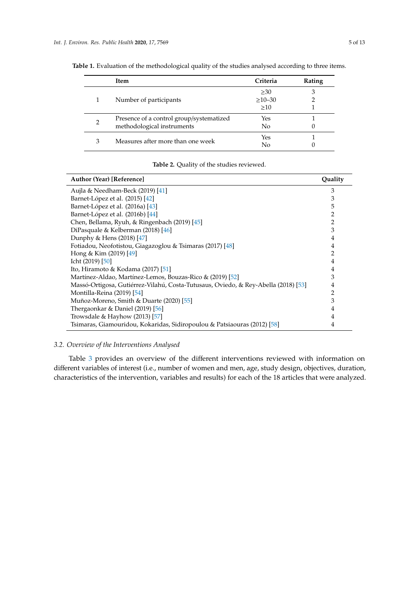|   | <b>Item</b>                                                            | Criteria                           | <b>Rating</b> |
|---|------------------------------------------------------------------------|------------------------------------|---------------|
|   | Number of participants                                                 | $\geq 30$<br>$\geq 10 - 30$<br>>10 |               |
|   | Presence of a control group/systematized<br>methodological instruments | Yes<br>No                          |               |
| 3 | Measures after more than one week                                      | Yes<br>No                          |               |

<span id="page-4-0"></span>**Table 1.** Evaluation of the methodological quality of the studies analysed according to three items.

**Table 2.** Quality of the studies reviewed.

<span id="page-4-1"></span>

| Author (Year) [Reference]                                                          | Quality |  |
|------------------------------------------------------------------------------------|---------|--|
| Aujla & Needham-Beck (2019) [41]                                                   | 3       |  |
| Barnet-López et al. (2015) [42]                                                    | 3       |  |
| Barnet-López et al. (2016a) [43]                                                   | 5       |  |
| Barnet-López et al. (2016b) [44]                                                   |         |  |
| Chen, Bellama, Ryuh, & Ringenbach (2019) [45]                                      | 2       |  |
| DiPasquale & Kelberman (2018) [46]                                                 | 3       |  |
| Dunphy & Hens (2018) [47]                                                          | 4       |  |
| Fotiadou, Neofotistou, Giagazoglou & Tsimaras (2017) [48]                          | 4       |  |
| Hong & Kim $(2019)$ [49]                                                           | 2       |  |
| Icht (2019) [50]                                                                   | 4       |  |
| Ito, Hiramoto & Kodama (2017) [51]                                                 | 4       |  |
| Martínez-Aldao, Martínez-Lemos, Bouzas-Rico & (2019) [52]                          | З       |  |
| Massó-Ortigosa, Gutiérrez-Vilahú, Costa-Tutusaus, Oviedo, & Rey-Abella (2018) [53] |         |  |
| Montilla-Reina (2019) [54]                                                         | 2       |  |
| Muñoz-Moreno, Smith & Duarte (2020) [55]                                           | 3       |  |
| Thergaonkar & Daniel $(2019)$ [56]                                                 | 4       |  |
| Trowsdale & Hayhow (2013) [57]                                                     | 4       |  |
| Tsimaras, Giamouridou, Kokaridas, Sidiropoulou & Patsiaouras (2012) [58]           |         |  |

# *3.2. Overview of the Interventions Analysed*

Table [3](#page-6-0) provides an overview of the different interventions reviewed with information on different variables of interest (i.e., number of women and men, age, study design, objectives, duration, characteristics of the intervention, variables and results) for each of the 18 articles that were analyzed.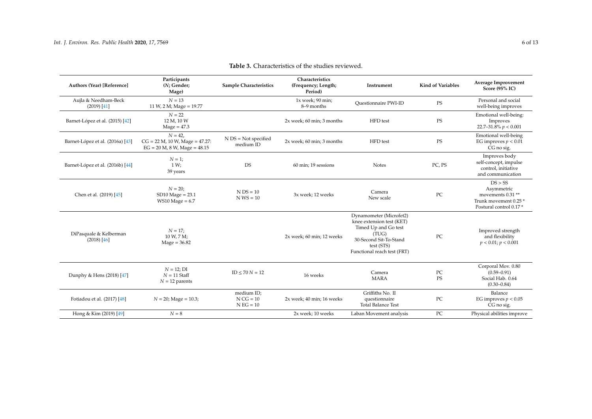| Authors (Year) [Reference]              | Participants<br>$(N; \text{Gender};$<br>Mage)                                                  | <b>Sample Characteristics</b>                    | Characteristics<br>(Frequency; Length;<br>Period) | Instrument                                                                                                                                                   | <b>Kind of Variables</b> | <b>Average Improvement</b><br>Score (95% IC)                                                              |
|-----------------------------------------|------------------------------------------------------------------------------------------------|--------------------------------------------------|---------------------------------------------------|--------------------------------------------------------------------------------------------------------------------------------------------------------------|--------------------------|-----------------------------------------------------------------------------------------------------------|
| Aujla & Needham-Beck<br>$(2019)$ [41]   | $N = 13$<br>11 W, 2 M; Mage = 19.77                                                            |                                                  | 1x week; 90 min;<br>8-9 months                    | <b>Ouestionnaire PWI-ID</b>                                                                                                                                  | PS                       | Personal and social<br>well-being improves                                                                |
| Barnet-López et al. (2015) [42]         | $N = 22$<br>12 M, 10 W<br>$Mage = 47.3$                                                        |                                                  | 2x week; 60 min; 3 months                         | <b>HFD</b> test                                                                                                                                              | PS                       | Emotional well-being:<br>Improves<br>22.7-31.8% $p < 0.001$                                               |
| Barnet-López et al. (2016a) [43]        | $N = 42.$<br>$CG = 22 M, 10 W, \text{Mage} = 47.27$ :<br>$EG = 20 M, 8 W, \text{Mage} = 48.15$ | $N DS = Not specified$<br>medium ID              | 2x week; 60 min; 3 months                         | HFD test                                                                                                                                                     | $\mathop{\mathrm{PS}}$   | Emotional well-being<br>EG improves $p < 0.01$<br>CG no sig.                                              |
| Barnet-López et al. (2016b) [44]        | $N=1$ ;<br>1 W <sub>i</sub><br>39 years                                                        | <b>DS</b>                                        | 60 min; 19 sessions                               | <b>Notes</b>                                                                                                                                                 | PC, PS                   | Improves body<br>self-concept, impulse<br>control, initiative<br>and communication                        |
| Chen et al. (2019) [45]                 | $N = 20$ ;<br>$SD10 \text{ Mage} = 23.1$<br>$WS10 \text{ Mage} = 6.7$                          | $N DS = 10$<br>$NWS = 10$                        | 3x week; 12 weeks                                 | Camera<br>New scale                                                                                                                                          | PC                       | DS > SS<br>Asymmetric<br>movements 0.31 <sup>**</sup><br>Trunk movement 0.25 *<br>Postural control 0.17 * |
| DiPasquale & Kelberman<br>$(2018)$ [46] | $N = 17;$<br>10 W, 7 M;<br>$Mage = 36.82$                                                      |                                                  | 2x week; 60 min; 12 weeks                         | Dynamometer (Microfet2)<br>knee extension test (KET)<br>Timed Up and Go test<br>(TUG)<br>30-Second Sit-To-Stand<br>test (STS)<br>Functional reach test (FRT) | PC                       | Improved strength<br>and flexibility<br>p < 0.01; p < 0.001                                               |
| Dunphy & Hens (2018) [47]               | $N = 12$ ; DI<br>$N = 11$ Staff<br>$N = 12$ parents                                            | ID $\leq$ 70 N = 12                              | 16 weeks                                          | Camera<br><b>MARA</b>                                                                                                                                        | PC<br>PS                 | Corporal Mov. 0.80<br>$(0.59 - 0.91)$<br>Social Hab. 0.64<br>$(0.30 - 0.84)$                              |
| Fotiadou et al. (2017) [48]             | $N = 20$ ; Mage = 10.3;                                                                        | medium ID;<br>$N \text{ CG} = 10$<br>$N EG = 10$ | 2x week; 40 min; 16 weeks                         | Griffiths No. II<br>questionnaire<br><b>Total Balance Test</b>                                                                                               | PC                       | Balance<br>EG improves $p < 0.05$<br>CG no sig.                                                           |
| Hong & Kim (2019) [49]                  | $N = 8$                                                                                        |                                                  | 2x week; 10 weeks                                 | Laban Movement analysis                                                                                                                                      | PC                       | Physical abilities improve                                                                                |

# **Table 3.** Characteristics of the studies reviewed.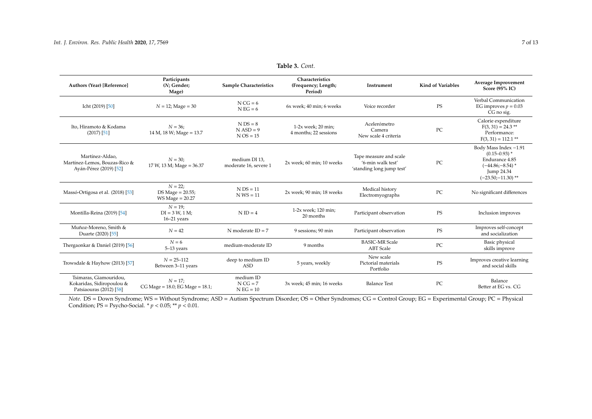| Authors (Year) [Reference]                                                     | Participants<br>$(N; \text{Gender};$<br>Mage)                 | <b>Sample Characteristics</b>           | Characteristics<br>(Frequency; Length;<br>Period) | Instrument                                                               | <b>Kind of Variables</b> | <b>Average Improvement</b><br>Score (95% IC)                                                                              |
|--------------------------------------------------------------------------------|---------------------------------------------------------------|-----------------------------------------|---------------------------------------------------|--------------------------------------------------------------------------|--------------------------|---------------------------------------------------------------------------------------------------------------------------|
| Icht (2019) [50]                                                               | $N = 12$ ; Mage = 30                                          | $NCG = 6$<br>$N EG = 6$                 | 6x week; 40 min; 6 weeks                          | Voice recorder                                                           | PS                       | Verbal Communication<br>EG improves $p = 0.03$<br>CG no sig.                                                              |
| Ito, Hiramoto & Kodama<br>$(2017)$ [51]                                        | $N = 36$ :<br>14 M, 18 W; Mage = 13.7                         | $N DS = 8$<br>$N$ ASD = 9<br>$NOS = 15$ | $1-2x$ week; $20$ min;<br>4 months; 22 sessions   | Acelerómetro<br>Camera<br>New scale 4 criteria                           | PC                       | Calorie expenditure<br>$F(3, 31) = 24.3$ **<br>Performance:<br>$F(3, 31) = 112.1$ **                                      |
| Martínez-Aldao,<br>Martínez-Lemos, Bouzas-Rico &<br>Ayán-Pérez (2019) [52]     | $N = 30$ :<br>$17 W$ , $13 M$ ; Mage = $36.37$                | medium DI 13,<br>moderate 16, severe 1  | 2x week; 60 min; 10 weeks                         | Tape measure and scale<br>'6-min walk test'<br>'standing long jump test' | PC                       | Body Mass Index -1.91<br>$(0.15 - 0.93)$ *<br>Endurance 4.85<br>$(-44.86 - 8.54)$ *<br>Jump 24.34<br>$(-23.50,-11.30)$ ** |
| Massó-Ortigosa et al. (2018) [53]                                              | $N = 22$ :<br>DS Mage = $20.55$ ;<br>$WS\text{ Mage} = 20.27$ | $NDS = 11$<br>$NWS = 11$                | 2x week; 90 min; 18 weeks                         | Medical history<br>Electromyographs                                      | PC                       | No significant differences                                                                                                |
| Montilla-Reina (2019) [54]                                                     | $N = 19$ :<br>$DI = 3 W, 1 M;$<br>$16 - 21$ years             | $N$ ID = 4                              | 1-2x week; 120 min;<br>20 months                  | Participant observation                                                  | PS                       | Inclusion improves                                                                                                        |
| Muñoz-Moreno, Smith &<br>Duarte (2020) [55]                                    | $N = 42$                                                      | N moderate $ID = 7$                     | 9 sessions; 90 min                                | Participant observation                                                  | PS                       | Improves self-concept<br>and socialization                                                                                |
| Thergaonkar & Daniel (2019) [56]                                               | $N = 6$<br>5-13 years                                         | medium-moderate ID                      | 9 months                                          | <b>BASIC-MR Scale</b><br><b>ABT</b> Scale                                | PC                       | <b>Basic physical</b><br>skills improve                                                                                   |
| Trowsdale & Hayhow (2013) [57]                                                 | $N = 25 - 112$<br>Between 3-11 years                          | deep to medium ID<br><b>ASD</b>         | 5 years, weekly                                   | New scale<br>Pictorial materials<br>Portfolio                            | PS                       | Improves creative learning<br>and social skills                                                                           |
| Tsimaras, Giamouridou,<br>Kokaridas, Sidiropoulou &<br>Patsiaouras (2012) [58] | $N = 17$ :<br>$CG \text{ Mage} = 18.0$ ; EG Mage = 18.1;      | medium ID<br>$NCG = 7$<br>$N EG = 10$   | 3x week; 45 min; 16 weeks                         | <b>Balance Test</b>                                                      | PC                       | Balance<br>Better at EG vs. CG                                                                                            |

**Table 3.** *Cont.*

<span id="page-6-0"></span>*Note*. DS = Down Syndrome; WS = Without Syndrome; ASD = Autism Spectrum Disorder; OS = Other Syndromes; CG = Control Group; EG = Experimental Group; PC = Physical Condition; PS = Psycho-Social.  $* p < 0.05; ** p < 0.01$ .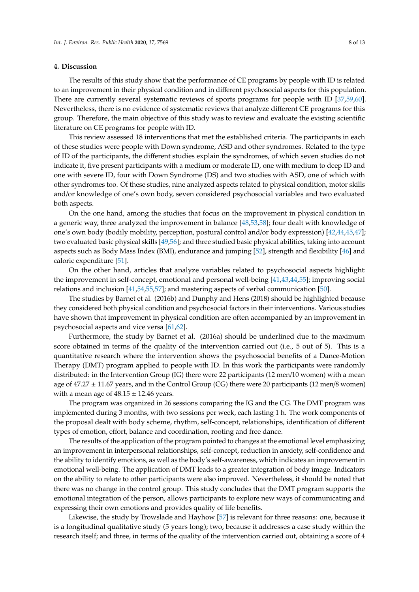### **4. Discussion**

The results of this study show that the performance of CE programs by people with ID is related to an improvement in their physical condition and in different psychosocial aspects for this population. There are currently several systematic reviews of sports programs for people with ID [\[37,](#page-10-13)[59,](#page-11-31)[60\]](#page-11-32). Nevertheless, there is no evidence of systematic reviews that analyze different CE programs for this group. Therefore, the main objective of this study was to review and evaluate the existing scientific literature on CE programs for people with ID.

This review assessed 18 interventions that met the established criteria. The participants in each of these studies were people with Down syndrome, ASD and other syndromes. Related to the type of ID of the participants, the different studies explain the syndromes, of which seven studies do not indicate it, five present participants with a medium or moderate ID, one with medium to deep ID and one with severe ID, four with Down Syndrome (DS) and two studies with ASD, one of which with other syndromes too. Of these studies, nine analyzed aspects related to physical condition, motor skills and/or knowledge of one's own body, seven considered psychosocial variables and two evaluated both aspects.

On the one hand, among the studies that focus on the improvement in physical condition in a generic way, three analyzed the improvement in balance [\[48,](#page-11-5)[53,](#page-11-10)[58\]](#page-11-15); four dealt with knowledge of one's own body (bodily mobility, perception, postural control and/or body expression) [\[42,](#page-10-18)[44,](#page-11-1)[45,](#page-11-2)[47\]](#page-11-4); two evaluated basic physical skills [\[49](#page-11-6)[,56\]](#page-11-13); and three studied basic physical abilities, taking into account aspects such as Body Mass Index (BMI), endurance and jumping [\[52\]](#page-11-9), strength and flexibility [\[46\]](#page-11-3) and caloric expenditure [\[51\]](#page-11-8).

On the other hand, articles that analyze variables related to psychosocial aspects highlight: the improvement in self-concept, emotional and personal well-being [\[41,](#page-10-17)[43,](#page-11-0)[44,](#page-11-1)[55\]](#page-11-12); improving social relations and inclusion [\[41,](#page-10-17)[54,](#page-11-11)[55](#page-11-12)[,57\]](#page-11-14); and mastering aspects of verbal communication [\[50\]](#page-11-7).

The studies by Barnet et al. (2016b) and Dunphy and Hens (2018) should be highlighted because they considered both physical condition and psychosocial factors in their interventions. Various studies have shown that improvement in physical condition are often accompanied by an improvement in psychosocial aspects and vice versa [\[61,](#page-11-33)[62\]](#page-12-0).

Furthermore, the study by Barnet et al. (2016a) should be underlined due to the maximum score obtained in terms of the quality of the intervention carried out (i.e., 5 out of 5). This is a quantitative research where the intervention shows the psychosocial benefits of a Dance-Motion Therapy (DMT) program applied to people with ID. In this work the participants were randomly distributed: in the Intervention Group (IG) there were 22 participants (12 men/10 women) with a mean age of  $47.27 \pm 11.67$  years, and in the Control Group (CG) there were 20 participants (12 men/8 women) with a mean age of  $48.15 \pm 12.46$  years.

The program was organized in 26 sessions comparing the IG and the CG. The DMT program was implemented during 3 months, with two sessions per week, each lasting 1 h. The work components of the proposal dealt with body scheme, rhythm, self-concept, relationships, identification of different types of emotion, effort, balance and coordination, rooting and free dance.

The results of the application of the program pointed to changes at the emotional level emphasizing an improvement in interpersonal relationships, self-concept, reduction in anxiety, self-confidence and the ability to identify emotions, as well as the body's self-awareness, which indicates an improvement in emotional well-being. The application of DMT leads to a greater integration of body image. Indicators on the ability to relate to other participants were also improved. Nevertheless, it should be noted that there was no change in the control group. This study concludes that the DMT program supports the emotional integration of the person, allows participants to explore new ways of communicating and expressing their own emotions and provides quality of life benefits.

Likewise, the study by Trowslade and Hayhow [\[57\]](#page-11-14) is relevant for three reasons: one, because it is a longitudinal qualitative study (5 years long); two, because it addresses a case study within the research itself; and three, in terms of the quality of the intervention carried out, obtaining a score of 4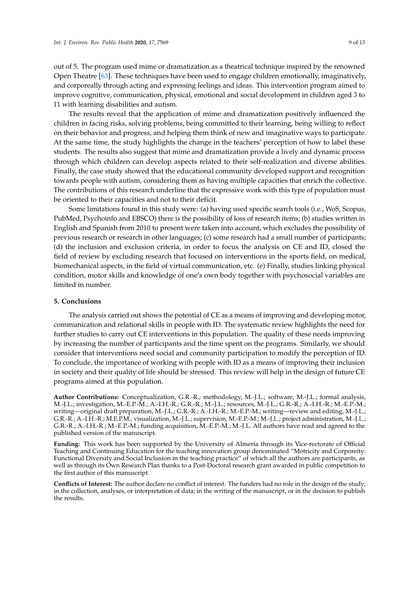out of 5. The program used mime or dramatization as a theatrical technique inspired by the renowned Open Theatre [\[63\]](#page-12-1). These techniques have been used to engage children emotionally, imaginatively, and corporeally through acting and expressing feelings and ideas. This intervention program aimed to improve cognitive, communication, physical, emotional and social development in children aged 3 to 11 with learning disabilities and autism.

The results reveal that the application of mime and dramatization positively influenced the children in facing risks, solving problems, being committed to their learning, being willing to reflect on their behavior and progress, and helping them think of new and imaginative ways to participate. At the same time, the study highlights the change in the teachers' perception of how to label these students. The results also suggest that mime and dramatization provide a lively and dynamic process through which children can develop aspects related to their self-realization and diverse abilities. Finally, the case study showed that the educational community developed support and recognition towards people with autism, considering them as having multiple capacities that enrich the collective. The contributions of this research underline that the expressive work with this type of population must be oriented to their capacities and not to their deficit.

Some limitations found in this study were: (a) having used specific search tools (i.e., WoS, Scopus, PubMed, Psychoinfo and EBSCO) there is the possibility of loss of research items; (b) studies written in English and Spanish from 2010 to present were taken into account, which excludes the possibility of previous research or research in other languages; (c) some research had a small number of participants; (d) the inclusion and exclusion criteria, in order to focus the analysis on CE and ID, closed the field of review by excluding research that focused on interventions in the sports field, on medical, biomechanical aspects, in the field of virtual communication, etc. (e) Finally, studies linking physical condition, motor skills and knowledge of one's own body together with psychosocial variables are limited in number.

### **5. Conclusions**

The analysis carried out shows the potential of CE as a means of improving and developing motor, communication and relational skills in people with ID. The systematic review highlights the need for further studies to carry out CE interventions in this population. The quality of these needs improving by increasing the number of participants and the time spent on the programs. Similarly, we should consider that interventions need social and community participation to modify the perception of ID. To conclude, the importance of working with people with ID as a means of improving their inclusion in society and their quality of life should be stressed. This review will help in the design of future CE programs aimed at this population.

**Author Contributions:** Conceptualization, G.R.-R.; methodology, M.-J.L.; software, M.-J.L.; formal analysis, M.-J.L.; investigation, M.-E.P.-M.; A.-I.H.-R.; G.R.-R.; M.-J.L.; resources, M.-J.L.; G.R.-R.; A.-I.H.-R.; M.-E.P.-M.; writing—original draft preparation, M.-J.L.; G.R.-R.; A.-I.H.-R.; M.-E.P.-M.; writing—review and editing, M.-J.L.; G.R.-R.; A.-I.H.-R.; M.E.P.M.; visualization, M.-J.L.; supervision, M.-E.P.-M.; M.-J.L.; project administration, M.-J.L.; G.R.-R.; A.-I.H.-R.; M.-E.P.-M.; funding acquisition, M.-E.P.-M.; M.-J.L. All authors have read and agreed to the published version of the manuscript.

**Funding:** This work has been supported by the University of Almeria through its Vice-rectorate of Official Teaching and Continuing Education for the teaching innovation group denominated "Motricity and Corporeity: Functional Diversity and Social Inclusion in the teaching practice" of which all the authors are participants, as well as through its Own Research Plan thanks to a Post-Doctoral research grant awarded in public competition to the first author of this manuscript.

**Conflicts of Interest:** The author declare no conflict of interest. The funders had no role in the design of the study; in the collection, analyses, or interpretation of data; in the writing of the manuscript, or in the decision to publish the results.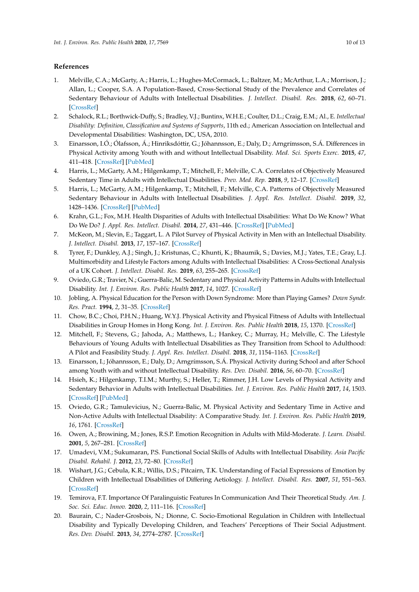# **References**

- <span id="page-9-0"></span>1. Melville, C.A.; McGarty, A.; Harris, L.; Hughes-McCormack, L.; Baltzer, M.; McArthur, L.A.; Morrison, J.; Allan, L.; Cooper, S.A. A Population-Based, Cross-Sectional Study of the Prevalence and Correlates of Sedentary Behaviour of Adults with Intellectual Disabilities. *J. Intellect. Disabil. Res.* **2018**, *62*, 60–71. [\[CrossRef\]](http://dx.doi.org/10.1111/jir.12454)
- <span id="page-9-1"></span>2. Schalock, R.L.; Borthwick-Duffy, S.; Bradley, V.J.; Buntinx, W.H.E.; Coulter, D.L.; Craig, E.M.; Al., E. *Intellectual Disability: Definition, Classification and Systems of Supports*, 11th ed.; American Association on Intellectual and Developmental Disabilities: Washington, DC, USA, 2010.
- <span id="page-9-2"></span>3. Einarsson, I.Ó.; Ólafsson, Á.; Hinriksdóttir, G.; Jóhannsson, E.; Daly, D.; Arngrímsson, S.Á. Differences in Physical Activity among Youth with and without Intellectual Disability. *Med. Sci. Sports Exerc.* **2015**, *47*, 411–418. [\[CrossRef\]](http://dx.doi.org/10.1249/MSS.0000000000000412) [\[PubMed\]](http://www.ncbi.nlm.nih.gov/pubmed/24983335)
- 4. Harris, L.; McGarty, A.M.; Hilgenkamp, T.; Mitchell, F.; Melville, C.A. Correlates of Objectively Measured Sedentary Time in Adults with Intellectual Disabilities. *Prev. Med. Rep.* **2018**, *9*, 12–17. [\[CrossRef\]](http://dx.doi.org/10.1016/j.pmedr.2017.11.010)
- <span id="page-9-3"></span>5. Harris, L.; McGarty, A.M.; Hilgenkamp, T.; Mitchell, F.; Melville, C.A. Patterns of Objectively Measured Sedentary Behaviour in Adults with Intellectual Disabilities. *J. Appl. Res. Intellect. Disabil.* **2019**, *32*, 1428–1436. [\[CrossRef\]](http://dx.doi.org/10.1111/jar.12633) [\[PubMed\]](http://www.ncbi.nlm.nih.gov/pubmed/31192528)
- <span id="page-9-4"></span>6. Krahn, G.L.; Fox, M.H. Health Disparities of Adults with Intellectual Disabilities: What Do We Know? What Do We Do? *J. Appl. Res. Intellect. Disabil.* **2014**, *27*, 431–446. [\[CrossRef\]](http://dx.doi.org/10.1111/jar.12067) [\[PubMed\]](http://www.ncbi.nlm.nih.gov/pubmed/23913632)
- 7. McKeon, M.; Slevin, E.; Taggart, L. A Pilot Survey of Physical Activity in Men with an Intellectual Disability. *J. Intellect. Disabil.* **2013**, *17*, 157–167. [\[CrossRef\]](http://dx.doi.org/10.1177/1744629513484666)
- <span id="page-9-5"></span>8. Tyrer, F.; Dunkley, A.J.; Singh, J.; Kristunas, C.; Khunti, K.; Bhaumik, S.; Davies, M.J.; Yates, T.E.; Gray, L.J. Multimorbidity and Lifestyle Factors among Adults with Intellectual Disabilities: A Cross-Sectional Analysis of a UK Cohort. *J. Intellect. Disabil. Res.* **2019**, *63*, 255–265. [\[CrossRef\]](http://dx.doi.org/10.1111/jir.12571)
- <span id="page-9-6"></span>9. Oviedo, G.R.; Travier, N.; Guerra-Balic, M. Sedentary and Physical Activity Patterns in Adults with Intellectual Disability. *Int. J. Environ. Res. Public Health* **2017**, *14*, 1027. [\[CrossRef\]](http://dx.doi.org/10.3390/ijerph14091027)
- <span id="page-9-7"></span>10. Jobling, A. Physical Education for the Person with Down Syndrome: More than Playing Games? *Down Syndr. Res. Pract.* **1994**, *2*, 31–35. [\[CrossRef\]](http://dx.doi.org/10.3104/reviews.27)
- <span id="page-9-8"></span>11. Chow, B.C.; Choi, P.H.N.; Huang, W.Y.J. Physical Activity and Physical Fitness of Adults with Intellectual Disabilities in Group Homes in Hong Kong. *Int. J. Environ. Res. Public Health* **2018**, *15*, 1370. [\[CrossRef\]](http://dx.doi.org/10.3390/ijerph15071370)
- <span id="page-9-9"></span>12. Mitchell, F.; Stevens, G.; Jahoda, A.; Matthews, L.; Hankey, C.; Murray, H.; Melville, C. The Lifestyle Behaviours of Young Adults with Intellectual Disabilities as They Transition from School to Adulthood: A Pilot and Feasibility Study. *J. Appl. Res. Intellect. Disabil.* **2018**, *31*, 1154–1163. [\[CrossRef\]](http://dx.doi.org/10.1111/jar.12489)
- <span id="page-9-10"></span>13. Einarsson, I.; Jóhannsson, E.; Daly, D.; Arngrímsson, S.Á. Physical Activity during School and after School among Youth with and without Intellectual Disability. *Res. Dev. Disabil.* **2016**, *56*, 60–70. [\[CrossRef\]](http://dx.doi.org/10.1016/j.ridd.2016.05.016)
- <span id="page-9-11"></span>14. Hsieh, K.; Hilgenkamp, T.I.M.; Murthy, S.; Heller, T.; Rimmer, J.H. Low Levels of Physical Activity and Sedentary Behavior in Adults with Intellectual Disabilities. *Int. J. Environ. Res. Public Health* **2017**, *14*, 1503. [\[CrossRef\]](http://dx.doi.org/10.3390/ijerph14121503) [\[PubMed\]](http://www.ncbi.nlm.nih.gov/pubmed/29207570)
- <span id="page-9-12"></span>15. Oviedo, G.R.; Tamulevicius, N.; Guerra-Balic, M. Physical Activity and Sedentary Time in Active and Non-Active Adults with Intellectual Disability: A Comparative Study. *Int. J. Environ. Res. Public Health* **2019**, *16*, 1761. [\[CrossRef\]](http://dx.doi.org/10.3390/ijerph16101761)
- <span id="page-9-13"></span>16. Owen, A.; Browining, M.; Jones, R.S.P. Emotion Recognition in Adults with Mild-Moderate. *J. Learn. Disabil.* **2001**, *5*, 267–281. [\[CrossRef\]](http://dx.doi.org/10.1177/146900470100500309)
- 17. Umadevi, V.M.; Sukumaran, P.S. Functional Social Skills of Adults with Intellectual Disability. *Asia Pacific Disabil. Rehabil. J.* **2012**, *23*, 72–80. [\[CrossRef\]](http://dx.doi.org/10.5463/DCID.v23i2.76)
- <span id="page-9-14"></span>18. Wishart, J.G.; Cebula, K.R.; Willis, D.S.; Pitcairn, T.K. Understanding of Facial Expressions of Emotion by Children with Intellectual Disabilities of Differing Aetiology. *J. Intellect. Disabil. Res.* **2007**, *51*, 551–563. [\[CrossRef\]](http://dx.doi.org/10.1111/j.1365-2788.2006.00947.x)
- <span id="page-9-15"></span>19. Temirova, F.T. Importance Of Paralinguistic Features In Communication And Their Theoretical Study. *Am. J. Soc. Sci. Educ. Innov.* **2020**, *2*, 111–116. [\[CrossRef\]](http://dx.doi.org/10.37547/tajssei/Volume02Issue09-15)
- <span id="page-9-16"></span>20. Baurain, C.; Nader-Grosbois, N.; Dionne, C. Socio-Emotional Regulation in Children with Intellectual Disability and Typically Developing Children, and Teachers' Perceptions of Their Social Adjustment. *Res. Dev. Disabil.* **2013**, *34*, 2774–2787. [\[CrossRef\]](http://dx.doi.org/10.1016/j.ridd.2013.03.022)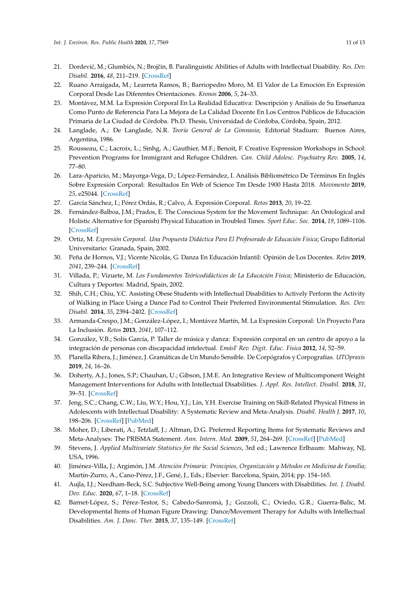- <span id="page-10-0"></span>21. Dordević, M.; Glumbićs, N.; Brojčin, B. Paralinguistic Abilities of Adults with Intellectual Disability. Res. Dev. *Disabil.* **2016**, *48*, 211–219. [\[CrossRef\]](http://dx.doi.org/10.1016/j.ridd.2015.11.001)
- <span id="page-10-1"></span>22. Ruano Arraigada, M.; Learreta Ramos, B.; Barriopedro Moro, M. El Valor de La Emoción En Expresión Corporal Desde Las Diferentes Orientaciones. *Kronos* **2006**, *5*, 24–33.
- <span id="page-10-2"></span>23. Montávez, M.M. La Expresión Corporal En La Realidad Educativa: Descripción y Análisis de Su Enseñanza Como Punto de Referencia Para La Mejora de La Calidad Docente En Los Centros Públicos de Educación Primaria de La Ciudad de Córdoba. Ph.D. Thesis, Universidad de Córdoba, Córdoba, Spain, 2012.
- <span id="page-10-3"></span>24. Langlade, A.; De Langlade, N.R. *Teoría General de La Gimnasia*; Editorial Stadium: Buenos Aires, Argentina, 1986.
- <span id="page-10-4"></span>25. Rousseau, C.; Lacroix, L.; Sinhg, A.; Gauthier, M.F.; Benoit, F. Creative Expression Workshops in School: Prevention Programs for Immigrant and Refugee Children. *Can. Child Adolesc. Psychiatry Rev.* **2005**, *14*, 77–80.
- <span id="page-10-5"></span>26. Lara-Aparicio, M.; Mayorga-Vega, D.; López-Fernández, I. Análisis Bibliométrico De Términos En Inglés Sobre Expresión Corporal: Resultados En Web of Science Tm Desde 1900 Hasta 2018. *Movimento* **2019**, *25*, e25044. [\[CrossRef\]](http://dx.doi.org/10.22456/1982-8918.88722)
- <span id="page-10-6"></span>27. García Sánchez, I.; Pérez Ordás, R.; Calvo, Á. Expresión Corporal. *Retos* **2013**, *20*, 19–22.
- 28. Fernández-Balboa, J.M.; Prados, E. The Conscious System for the Movement Technique: An Ontological and Holistic Alternative for (Spanish) Physical Education in Troubled Times. *Sport Educ. Soc.* **2014**, *19*, 1089–1106. [\[CrossRef\]](http://dx.doi.org/10.1080/13573322.2012.735652)
- 29. Ortiz, M. *Expresión Corporal. Una Propuesta Didáctica Para El Profesorado de Educación Física*; Grupo Editorial Universitario: Granada, Spain, 2002.
- 30. Peña de Hornos, V.J.; Vicente Nicolás, G. Danza En Educación Infantil: Opinión de Los Docentes. *Retos* **2019**, *2041*, 239–244. [\[CrossRef\]](http://dx.doi.org/10.47197/retos.v36i36.69716)
- <span id="page-10-7"></span>31. Villada, P.; Vizuete, M. *Los Fundamentos Teóricodidácticos de La Educación Física*; Ministerio de Educación, Cultura y Deportes: Madrid, Spain, 2002.
- <span id="page-10-8"></span>32. Shih, C.H.; Chiu, Y.C. Assisting Obese Students with Intellectual Disabilities to Actively Perform the Activity of Walking in Place Using a Dance Pad to Control Their Preferred Environmental Stimulation. *Res. Dev. Disabil.* **2014**, *35*, 2394–2402. [\[CrossRef\]](http://dx.doi.org/10.1016/j.ridd.2014.06.011)
- <span id="page-10-20"></span><span id="page-10-19"></span><span id="page-10-9"></span>33. Armanda-Crespo, J.M.; González-López, I.; Montávez Martín, M. La Expresión Corporal: Un Proyecto Para La Inclusión. *Retos* **2013**, *2041*, 107–112.
- <span id="page-10-10"></span>34. González, V.B.; Solís García, P. Taller de música y danza: Expresión corporal en un centro de apoyo a la integración de personas con discapacidad intelectual. *EmásF Rev. Digit. Educ. Física* **2012**, *14*, 52–59.
- <span id="page-10-11"></span>35. Planella Ribera, J.; Jiménez, J. Gramáticas de Un Mundo Sensible. De Corpógrafos y Corpografías. *UTOpraxis* **2019**, *24*, 16–26.
- <span id="page-10-12"></span>36. Doherty, A.J.; Jones, S.P.; Chauhan, U.; Gibson, J.M.E. An Integrative Review of Multicomponent Weight Management Interventions for Adults with Intellectual Disabilities. *J. Appl. Res. Intellect. Disabil.* **2018**, *31*, 39–51. [\[CrossRef\]](http://dx.doi.org/10.1111/jar.12367)
- <span id="page-10-13"></span>37. Jeng, S.C.; Chang, C.W.; Liu, W.Y.; Hou, Y.J.; Lin, Y.H. Exercise Training on Skill-Related Physical Fitness in Adolescents with Intellectual Disability: A Systematic Review and Meta-Analysis. *Disabil. Health J.* **2017**, *10*, 198–206. [\[CrossRef\]](http://dx.doi.org/10.1016/j.dhjo.2016.12.003) [\[PubMed\]](http://www.ncbi.nlm.nih.gov/pubmed/28025086)
- <span id="page-10-14"></span>38. Moher, D.; Liberati, A.; Tetzlaff, J.; Altman, D.G. Preferred Reporting Items for Systematic Reviews and Meta-Analyses: The PRISMA Statement. *Ann. Intern. Med.* **2009**, *51*, 264–269. [\[CrossRef\]](http://dx.doi.org/10.7326/0003-4819-151-4-200908180-00135) [\[PubMed\]](http://www.ncbi.nlm.nih.gov/pubmed/19622511)
- <span id="page-10-15"></span>39. Stevens, J. *Applied Multivariate Statistics for the Social Sciences*, 3rd ed.; Lawrence Erlbaum: Mahway, NJ, USA, 1996.
- <span id="page-10-16"></span>40. Jiménez-Villa, J.; Argimón, J.M. *Atención Primaria: Principios, Organización y Métodos en Medicina de Familia*; Martín-Zurro, A., Cano-Pérez, J.F., Gené, J., Eds.; Elsevier: Barcelona, Spain, 2014; pp. 154–165.
- <span id="page-10-17"></span>41. Aujla, I.J.; Needham-Beck, S.C. Subjective Well-Being among Young Dancers with Disabilities. *Int. J. Disabil. Dev. Educ.* **2020**, *67*, 1–18. [\[CrossRef\]](http://dx.doi.org/10.1080/1034912X.2019.1615607)
- <span id="page-10-18"></span>42. Barnet-López, S.; Pérez-Testor, S.; Cabedo-Sanromà, J.; Gozzoli, C.; Oviedo, G.R.; Guerra-Balic, M. Developmental Items of Human Figure Drawing: Dance/Movement Therapy for Adults with Intellectual Disabilities. *Am. J. Danc. Ther.* **2015**, *37*, 135–149. [\[CrossRef\]](http://dx.doi.org/10.1007/s10465-015-9201-1)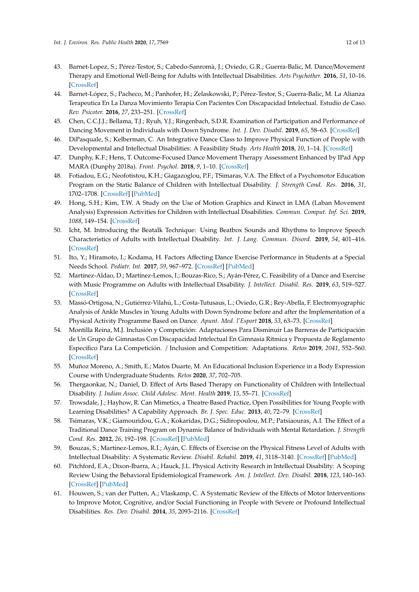- <span id="page-11-24"></span><span id="page-11-23"></span><span id="page-11-22"></span><span id="page-11-21"></span><span id="page-11-20"></span><span id="page-11-19"></span><span id="page-11-18"></span><span id="page-11-17"></span><span id="page-11-16"></span><span id="page-11-0"></span>43. Barnet-Lopez, S.; Pérez-Testor, S.; Cabedo-Sanromà, J.; Oviedo, G.R.; Guerra-Balic, M. Dance/Movement Therapy and Emotional Well-Being for Adults with Intellectual Disabilities. *Arts Psychother.* **2016**, *51*, 10–16. [\[CrossRef\]](http://dx.doi.org/10.1016/j.aip.2016.08.002)
- <span id="page-11-25"></span><span id="page-11-1"></span>44. Barnet-López, S.; Pacheco, M.; Panhofer, H.; Zelaskowski, P.; Pérez-Testor, S.; Guerra-Balic, M. La Alianza Terapeutica En La Danza Movimiento Terapia Con Pacientes Con Discapacidad Intelectual. Estudio de Caso. *Rev. Psicoter.* **2016**, *27*, 233–251. [\[CrossRef\]](http://dx.doi.org/10.33898/rdp.v27i104.98)
- <span id="page-11-26"></span><span id="page-11-2"></span>45. Chen, C.C.J.J.; Bellama, T.J.; Ryuh, Y.J.; Ringenbach, S.D.R. Examination of Participation and Performance of Dancing Movement in Individuals with Down Syndrome. *Int. J. Dev. Disabil.* **2019**, *65*, 58–63. [\[CrossRef\]](http://dx.doi.org/10.1080/20473869.2017.1334307)
- <span id="page-11-3"></span>46. DiPasquale, S.; Kelberman, C. An Integrative Dance Class to Improve Physical Function of People with Developmental and Intellectual Disabilities: A Feasibility Study. *Arts Health* **2018**, *10*, 1–14. [\[CrossRef\]](http://dx.doi.org/10.1080/17533015.2018.1537295)
- <span id="page-11-27"></span><span id="page-11-4"></span>47. Dunphy, K.F.; Hens, T. Outcome-Focused Dance Movement Therapy Assessment Enhanced by IPad App MARA (Dunphy 2018a). *Front. Psychol.* **2018**, *9*, 1–10. [\[CrossRef\]](http://dx.doi.org/10.3389/fpsyg.2018.02067)
- <span id="page-11-5"></span>48. Fotiadou, E.G.; Neofotistou, K.H.; Giagazoglou, P.F.; TSimaras, V.A. The Effect of a Psychomotor Education Program on the Static Balance of Children with Intellectual Disability. *J. Strength Cond. Res.* **2016**, *31*, 1702–1708. [\[CrossRef\]](http://dx.doi.org/10.1519/JSC.0000000000001612) [\[PubMed\]](http://www.ncbi.nlm.nih.gov/pubmed/28538323)
- <span id="page-11-29"></span><span id="page-11-28"></span><span id="page-11-6"></span>49. Hong, S.H.; Kim, T.W. A Study on the Use of Motion Graphics and Kinect in LMA (Laban Movement Analysis) Expression Activities for Children with Intellectual Disabilities. *Commun. Comput. Inf. Sci.* **2019**, *1088*, 149–154. [\[CrossRef\]](http://dx.doi.org/10.1007/978-3-030-30712-7_20)
- <span id="page-11-7"></span>50. Icht, M. Introducing the Beatalk Technique: Using Beatbox Sounds and Rhythms to Improve Speech Characteristics of Adults with Intellectual Disability. *Int. J. Lang. Commun. Disord.* **2019**, *54*, 401–416. [\[CrossRef\]](http://dx.doi.org/10.1111/1460-6984.12445)
- <span id="page-11-30"></span><span id="page-11-8"></span>51. Ito, Y.; Hiramoto, I.; Kodama, H. Factors Affecting Dance Exercise Performance in Students at a Special Needs School. *Pediatr. Int.* **2017**, *59*, 967–972. [\[CrossRef\]](http://dx.doi.org/10.1111/ped.13338) [\[PubMed\]](http://www.ncbi.nlm.nih.gov/pubmed/28586511)
- <span id="page-11-9"></span>52. Martínez-Aldao, D.; Martínez-Lemos, I.; Bouzas-Rico, S.; Ayán-Pérez, C. Feasibility of a Dance and Exercise with Music Programme on Adults with Intellectual Disability. *J. Intellect. Disabil. Res.* **2019**, *63*, 519–527. [\[CrossRef\]](http://dx.doi.org/10.1111/jir.12585)
- <span id="page-11-10"></span>53. Massó-Ortigosa, N.; Gutiérrez-Vilahú, L.; Costa-Tutusaus, L.; Oviedo, G.R.; Rey-Abella, F. Electromyographic Analysis of Ankle Muscles in Young Adults with Down Syndrome before and after the Implementation of a Physical Activity Programme Based on Dance. *Apunt. Med. l'Esport* **2018**, *53*, 63–73. [\[CrossRef\]](http://dx.doi.org/10.1016/j.apunts.2017.11.002)
- <span id="page-11-11"></span>54. Montilla Reina, M.J. Inclusión y Competición: Adaptaciones Para Disminuir Las Barreras de Participación de Un Grupo de Gimnastas Con Discapacidad Intelectual En Gimnasia Rítmica y Propuesta de Reglamento Específico Para La Competición. / Inclusion and Competition: Adaptations. *Retos* **2019**, *2041*, 552–560. [\[CrossRef\]](http://dx.doi.org/10.47197/retos.v36i36.69283)
- <span id="page-11-12"></span>55. Muñoz Moreno, A.; Smith, E.; Matos Duarte, M. An Educational Inclusion Experience in a Body Expression Course with Undergraduate Students. *Retos* **2020**, *37*, 702–705.
- <span id="page-11-13"></span>56. Thergaonkar, N.; Daniel, D. Effect of Arts Based Therapy on Functionality of Children with Intellectual Disability. *J. Indian Assoc. Child Adolesc. Ment. Health* **2019**, *15*, 55–71. [\[CrossRef\]](http://dx.doi.org/10.1126/scitranslmed.3004214)
- <span id="page-11-14"></span>57. Trowsdale, J.; Hayhow, R. Can Mimetics, a Theatre-Based Practice, Open Possibilities for Young People with Learning Disabilities? A Capability Approach. *Br. J. Spec. Educ.* **2013**, *40*, 72–79. [\[CrossRef\]](http://dx.doi.org/10.1111/1467-8578.12019)
- <span id="page-11-15"></span>58. Tsimaras, V.K.; Giamouridou, G.A.; Kokaridas, D.G.; Sidiropoulou, M.P.; Patsiaouras, A.I. The Effect of a Traditional Dance Training Program on Dynamic Balance of Individuals with Mental Retardation. *J. Strength Cond. Res.* **2012**, *26*, 192–198. [\[CrossRef\]](http://dx.doi.org/10.1519/JSC.0b013e31821c2494) [\[PubMed\]](http://www.ncbi.nlm.nih.gov/pubmed/22158259)
- <span id="page-11-31"></span>59. Bouzas, S.; Martínez-Lemos, R.I.; Ayán, C. Effects of Exercise on the Physical Fitness Level of Adults with Intellectual Disability: A Systematic Review. *Disabil. Rehabil.* **2019**, *41*, 3118–3140. [\[CrossRef\]](http://dx.doi.org/10.1080/09638288.2018.1491646) [\[PubMed\]](http://www.ncbi.nlm.nih.gov/pubmed/30301367)
- <span id="page-11-32"></span>60. Pitchford, E.A.; Dixon-Ibarra, A.; Hauck, J.L. Physical Activity Research in Intellectual Disability: A Scoping Review Using the Behavioral Epidemiological Framework. *Am. J. Intellect. Dev. Disabil.* **2018**, *123*, 140–163. [\[CrossRef\]](http://dx.doi.org/10.1352/1944-7558-123.2.140) [\[PubMed\]](http://www.ncbi.nlm.nih.gov/pubmed/29480777)
- <span id="page-11-33"></span>61. Houwen, S.; van der Putten, A.; Vlaskamp, C. A Systematic Review of the Effects of Motor Interventions to Improve Motor, Cognitive, and/or Social Functioning in People with Severe or Profound Intellectual Disabilities. *Res. Dev. Disabil.* **2014**, *35*, 2093–2116. [\[CrossRef\]](http://dx.doi.org/10.1016/j.ridd.2014.05.006)